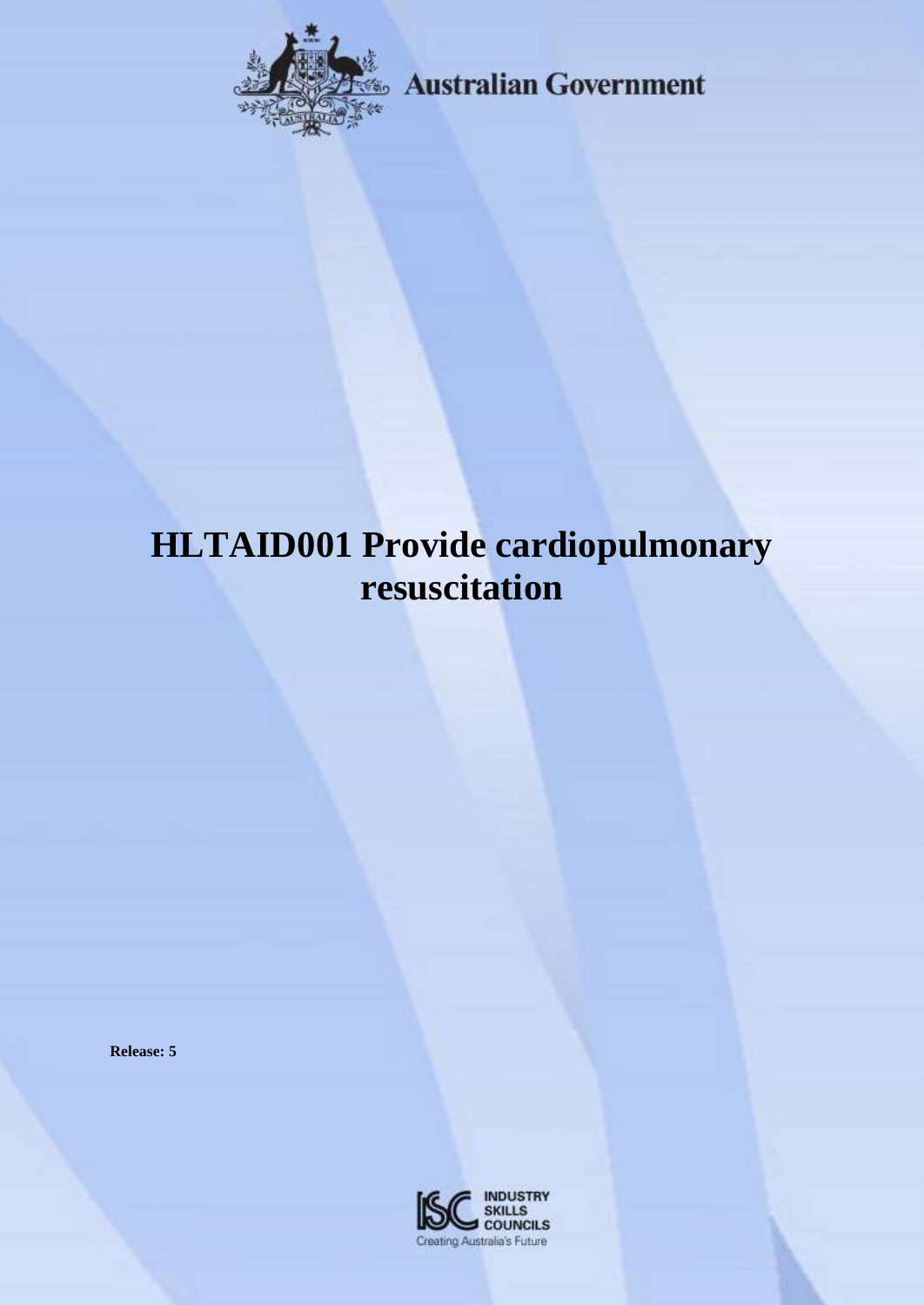

**Australian Government** 

# **HLTAID001 Provide cardiopulmonary resuscitation**

**Release: 5**

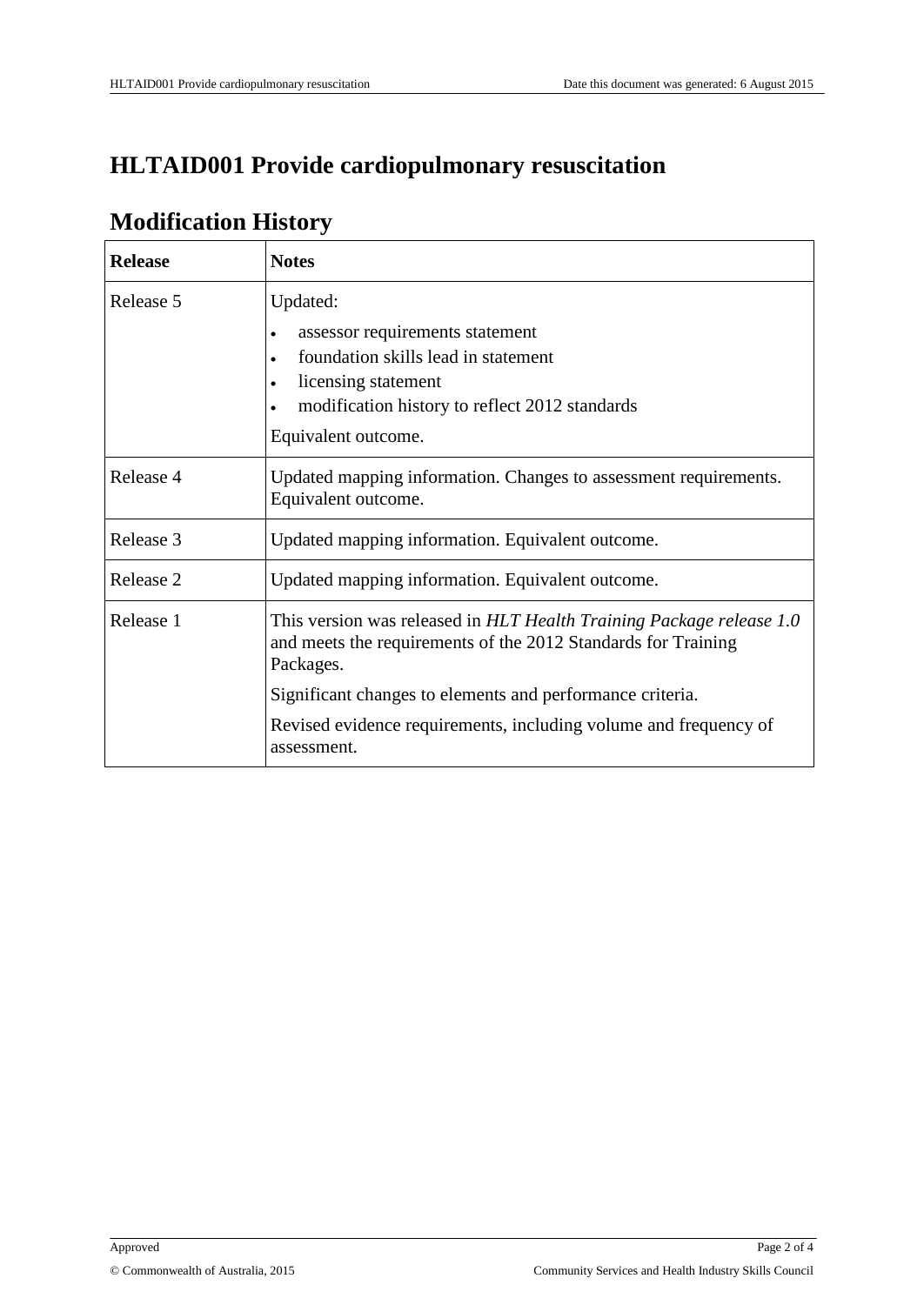# **HLTAID001 Provide cardiopulmonary resuscitation**

| <b>Release</b> | <b>Notes</b>                                                                                                                                       |  |
|----------------|----------------------------------------------------------------------------------------------------------------------------------------------------|--|
| Release 5      | Updated:                                                                                                                                           |  |
|                | assessor requirements statement<br>$\bullet$                                                                                                       |  |
|                | foundation skills lead in statement<br>$\bullet$                                                                                                   |  |
|                | licensing statement<br>$\bullet$                                                                                                                   |  |
|                | modification history to reflect 2012 standards<br>$\bullet$                                                                                        |  |
|                | Equivalent outcome.                                                                                                                                |  |
| Release 4      | Updated mapping information. Changes to assessment requirements.<br>Equivalent outcome.                                                            |  |
| Release 3      | Updated mapping information. Equivalent outcome.                                                                                                   |  |
| Release 2      | Updated mapping information. Equivalent outcome.                                                                                                   |  |
| Release 1      | This version was released in HLT Health Training Package release 1.0<br>and meets the requirements of the 2012 Standards for Training<br>Packages. |  |
|                | Significant changes to elements and performance criteria.                                                                                          |  |
|                | Revised evidence requirements, including volume and frequency of<br>assessment.                                                                    |  |

# **Modification History**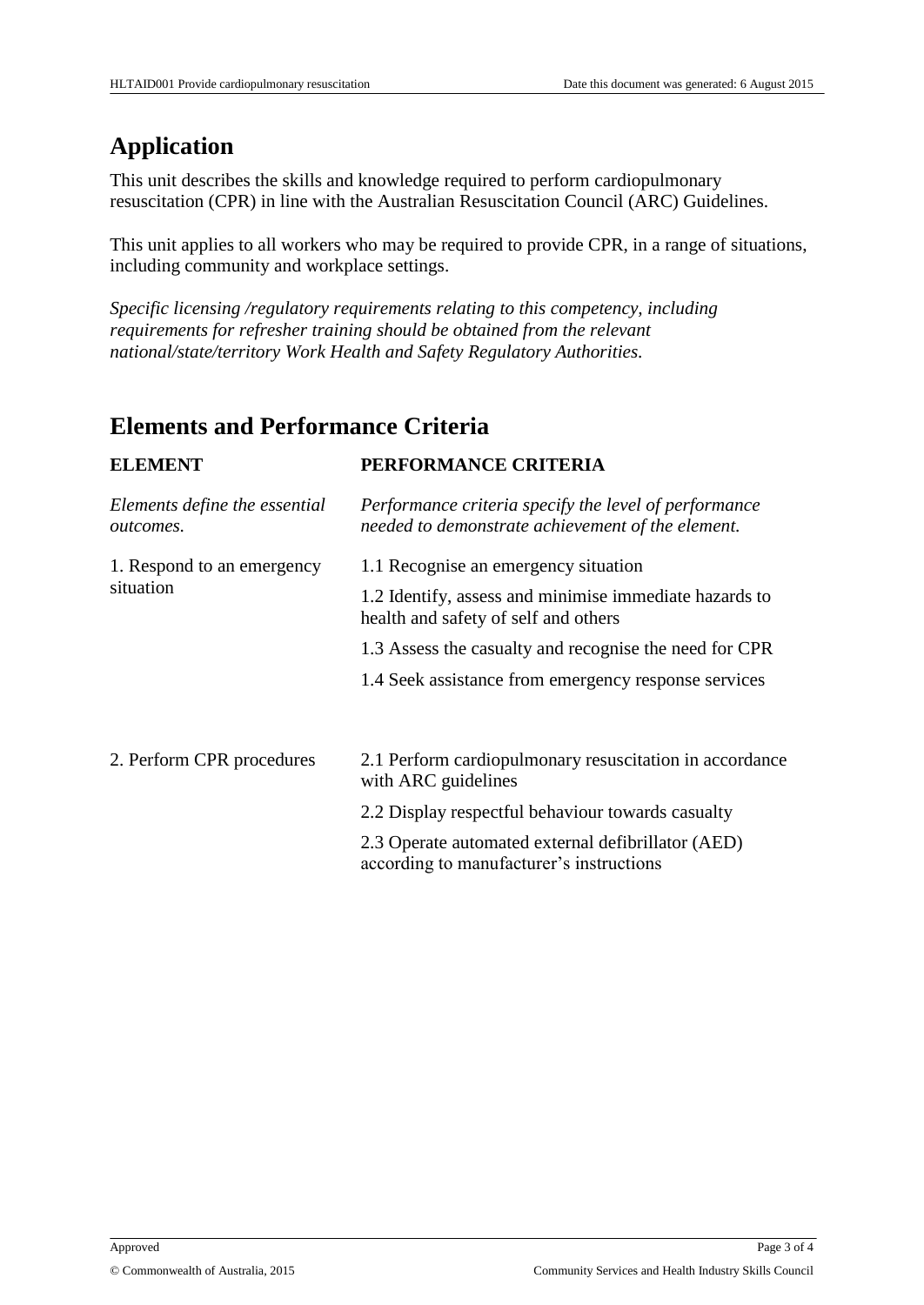#### **Application**

This unit describes the skills and knowledge required to perform cardiopulmonary resuscitation (CPR) in line with the Australian Resuscitation Council (ARC) Guidelines.

This unit applies to all workers who may be required to provide CPR, in a range of situations, including community and workplace settings.

*Specific licensing /regulatory requirements relating to this competency, including requirements for refresher training should be obtained from the relevant national/state/territory Work Health and Safety Regulatory Authorities.*

#### **Elements and Performance Criteria**

| <b>ELEMENT</b>                             | PERFORMANCE CRITERIA                                                                                       |
|--------------------------------------------|------------------------------------------------------------------------------------------------------------|
| Elements define the essential<br>outcomes. | Performance criteria specify the level of performance<br>needed to demonstrate achievement of the element. |
| 1. Respond to an emergency                 | 1.1 Recognise an emergency situation                                                                       |
| situation                                  | 1.2 Identify, assess and minimise immediate hazards to<br>health and safety of self and others             |
|                                            | 1.3 Assess the casualty and recognise the need for CPR                                                     |
|                                            | 1.4 Seek assistance from emergency response services                                                       |
| 2. Perform CPR procedures                  | 2.1 Perform cardiopulmonary resuscitation in accordance<br>with ARC guidelines                             |
|                                            | 2.2 Display respectful behaviour towards casualty                                                          |
|                                            | 2.3 Operate automated external defibrillator (AED)<br>according to manufacturer's instructions             |